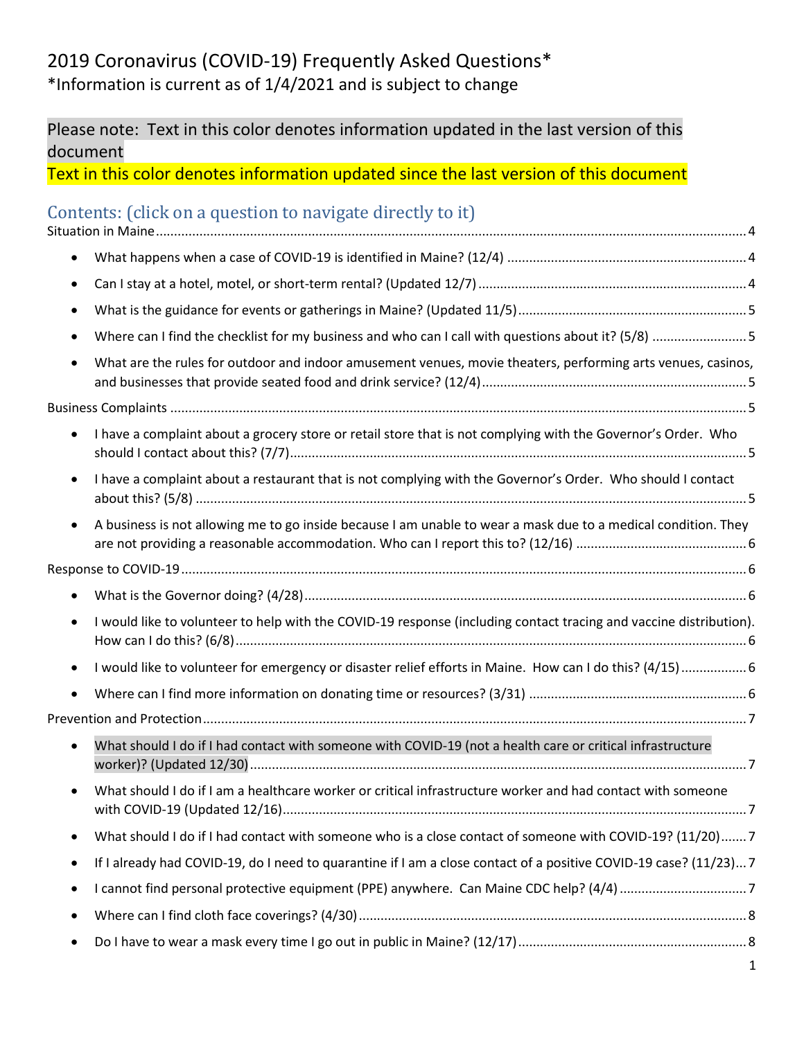# 2019 Coronavirus (COVID-19) Frequently Asked Questions\* \*Information is current as of 1/4/2021 and is subject to change

# Please note: Text in this color denotes information updated in the last version of this document

Text in this color denotes information updated since the last version of this document

# <span id="page-0-0"></span>Contents: (click on a question to navigate directly to it)

| $\bullet$ |                                                                                                                    |  |
|-----------|--------------------------------------------------------------------------------------------------------------------|--|
|           |                                                                                                                    |  |
|           |                                                                                                                    |  |
|           | Where can I find the checklist for my business and who can I call with questions about it? (5/8) 5                 |  |
|           | What are the rules for outdoor and indoor amusement venues, movie theaters, performing arts venues, casinos,       |  |
|           |                                                                                                                    |  |
|           | I have a complaint about a grocery store or retail store that is not complying with the Governor's Order. Who      |  |
|           | I have a complaint about a restaurant that is not complying with the Governor's Order. Who should I contact        |  |
|           | A business is not allowing me to go inside because I am unable to wear a mask due to a medical condition. They     |  |
|           |                                                                                                                    |  |
|           |                                                                                                                    |  |
|           | I would like to volunteer to help with the COVID-19 response (including contact tracing and vaccine distribution). |  |
|           | I would like to volunteer for emergency or disaster relief efforts in Maine. How can I do this? (4/15) 6           |  |
|           |                                                                                                                    |  |
|           |                                                                                                                    |  |
|           | What should I do if I had contact with someone with COVID-19 (not a health care or critical infrastructure         |  |
|           | What should I do if I am a healthcare worker or critical infrastructure worker and had contact with someone        |  |
|           | What should I do if I had contact with someone who is a close contact of someone with COVID-19? (11/20)7           |  |
|           | If I already had COVID-19, do I need to quarantine if I am a close contact of a positive COVID-19 case? (11/23)7   |  |
|           |                                                                                                                    |  |
|           |                                                                                                                    |  |
|           |                                                                                                                    |  |
|           |                                                                                                                    |  |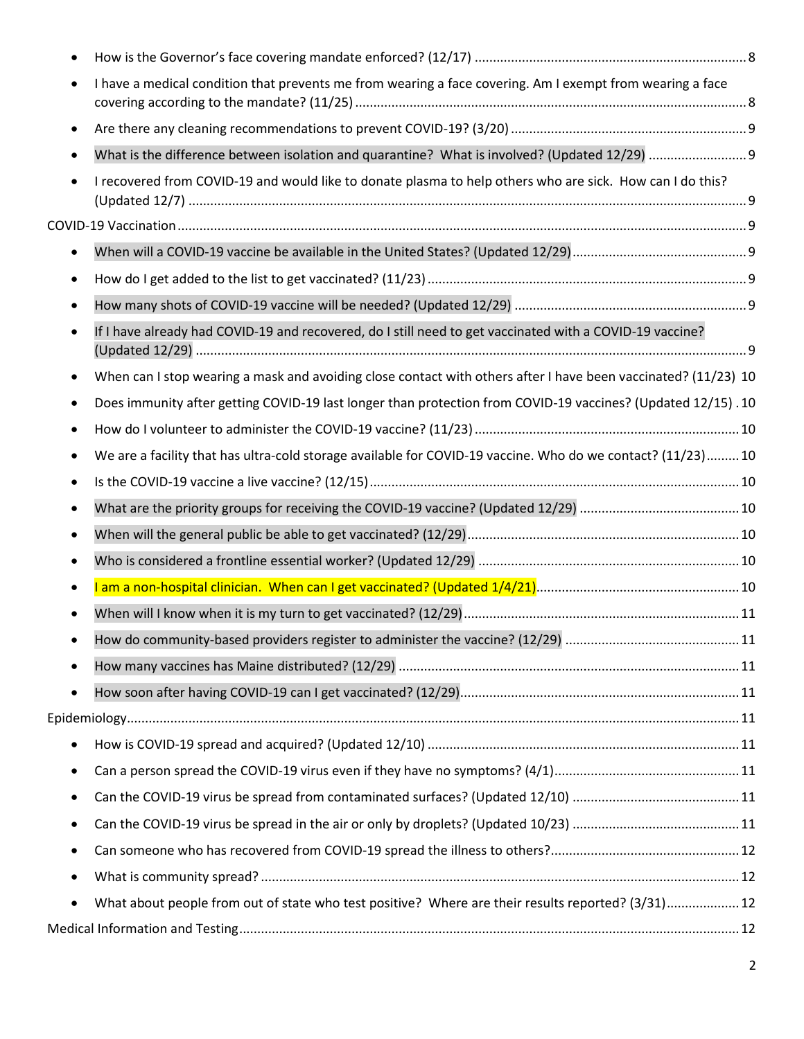|           | I have a medical condition that prevents me from wearing a face covering. Am I exempt from wearing a face      |  |
|-----------|----------------------------------------------------------------------------------------------------------------|--|
|           |                                                                                                                |  |
|           |                                                                                                                |  |
|           | I recovered from COVID-19 and would like to donate plasma to help others who are sick. How can I do this?      |  |
|           |                                                                                                                |  |
|           |                                                                                                                |  |
|           |                                                                                                                |  |
|           |                                                                                                                |  |
| $\bullet$ | If I have already had COVID-19 and recovered, do I still need to get vaccinated with a COVID-19 vaccine?       |  |
|           | When can I stop wearing a mask and avoiding close contact with others after I have been vaccinated? (11/23) 10 |  |
|           | Does immunity after getting COVID-19 last longer than protection from COVID-19 vaccines? (Updated 12/15).10    |  |
|           |                                                                                                                |  |
|           | We are a facility that has ultra-cold storage available for COVID-19 vaccine. Who do we contact? (11/23)10     |  |
|           |                                                                                                                |  |
|           |                                                                                                                |  |
|           |                                                                                                                |  |
|           |                                                                                                                |  |
|           |                                                                                                                |  |
|           |                                                                                                                |  |
|           |                                                                                                                |  |
|           |                                                                                                                |  |
| $\bullet$ |                                                                                                                |  |
|           |                                                                                                                |  |
|           |                                                                                                                |  |
| ٠         |                                                                                                                |  |
| $\bullet$ |                                                                                                                |  |
|           |                                                                                                                |  |
| ٠         |                                                                                                                |  |
| ٠         |                                                                                                                |  |
| ٠         | What about people from out of state who test positive? Where are their results reported? (3/31) 12             |  |
|           |                                                                                                                |  |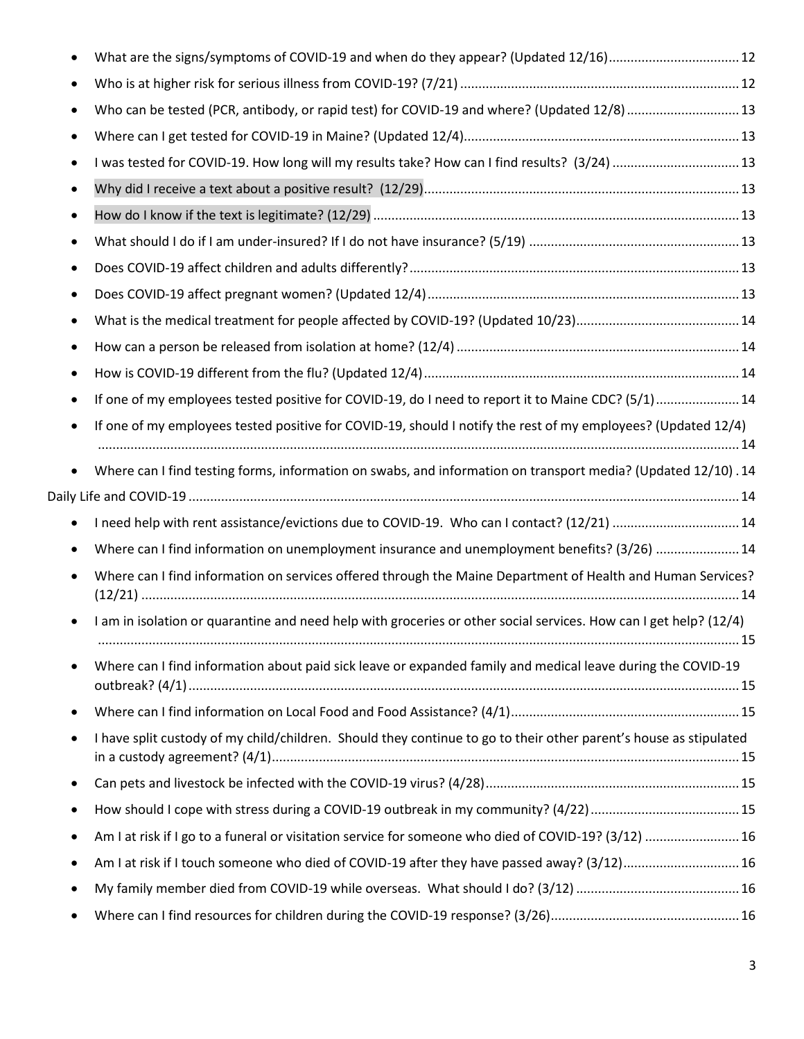|           | What are the signs/symptoms of COVID-19 and when do they appear? (Updated 12/16)12                                |  |
|-----------|-------------------------------------------------------------------------------------------------------------------|--|
|           |                                                                                                                   |  |
|           | Who can be tested (PCR, antibody, or rapid test) for COVID-19 and where? (Updated 12/8)  13                       |  |
|           |                                                                                                                   |  |
|           | I was tested for COVID-19. How long will my results take? How can I find results? (3/24)  13                      |  |
| ٠         |                                                                                                                   |  |
| $\bullet$ |                                                                                                                   |  |
|           |                                                                                                                   |  |
| ٠         |                                                                                                                   |  |
| $\bullet$ |                                                                                                                   |  |
| ٠         |                                                                                                                   |  |
| ٠         |                                                                                                                   |  |
| $\bullet$ |                                                                                                                   |  |
| $\bullet$ | If one of my employees tested positive for COVID-19, do I need to report it to Maine CDC? (5/1) 14                |  |
| $\bullet$ | If one of my employees tested positive for COVID-19, should I notify the rest of my employees? (Updated 12/4)     |  |
| $\bullet$ | Where can I find testing forms, information on swabs, and information on transport media? (Updated 12/10).14      |  |
| $\bullet$ | I need help with rent assistance/evictions due to COVID-19. Who can I contact? (12/21)  14                        |  |
| $\bullet$ | Where can I find information on unemployment insurance and unemployment benefits? (3/26)  14                      |  |
|           | Where can I find information on services offered through the Maine Department of Health and Human Services?       |  |
|           | I am in isolation or quarantine and need help with groceries or other social services. How can I get help? (12/4) |  |
|           | Where can I find information about paid sick leave or expanded family and medical leave during the COVID-19       |  |
| $\bullet$ |                                                                                                                   |  |
| $\bullet$ | I have split custody of my child/children. Should they continue to go to their other parent's house as stipulated |  |
| ٠         |                                                                                                                   |  |
|           |                                                                                                                   |  |
| ٠         | Am I at risk if I go to a funeral or visitation service for someone who died of COVID-19? (3/12)  16              |  |
| ٠         | Am I at risk if I touch someone who died of COVID-19 after they have passed away? (3/12)16                        |  |
| ٠         |                                                                                                                   |  |
| ٠         |                                                                                                                   |  |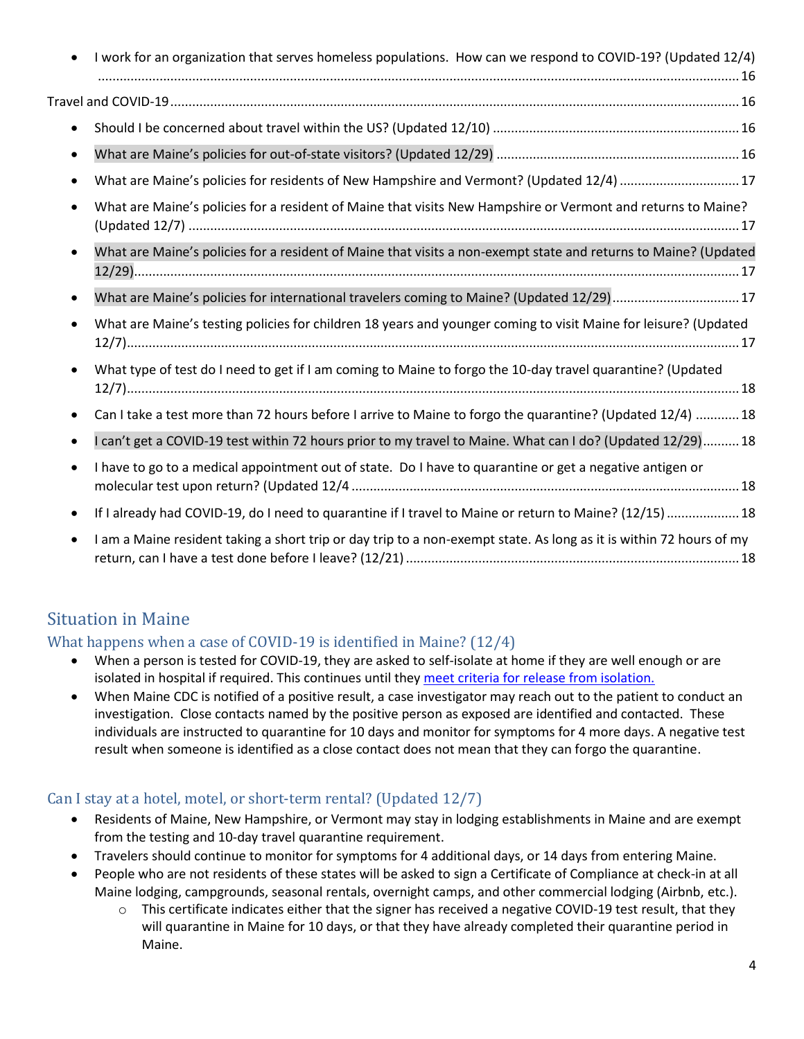|           | I work for an organization that serves homeless populations. How can we respond to COVID-19? (Updated 12/4)         |
|-----------|---------------------------------------------------------------------------------------------------------------------|
|           |                                                                                                                     |
|           |                                                                                                                     |
| $\bullet$ |                                                                                                                     |
|           | What are Maine's policies for residents of New Hampshire and Vermont? (Updated 12/4) 17                             |
|           | What are Maine's policies for a resident of Maine that visits New Hampshire or Vermont and returns to Maine?        |
| $\bullet$ | What are Maine's policies for a resident of Maine that visits a non-exempt state and returns to Maine? (Updated     |
| $\bullet$ | What are Maine's policies for international travelers coming to Maine? (Updated 12/29) 17                           |
|           | What are Maine's testing policies for children 18 years and younger coming to visit Maine for leisure? (Updated     |
|           | What type of test do I need to get if I am coming to Maine to forgo the 10-day travel quarantine? (Updated          |
|           | Can I take a test more than 72 hours before I arrive to Maine to forgo the quarantine? (Updated 12/4)  18           |
|           | I can't get a COVID-19 test within 72 hours prior to my travel to Maine. What can I do? (Updated 12/29)18           |
| $\bullet$ | I have to go to a medical appointment out of state. Do I have to quarantine or get a negative antigen or            |
| $\bullet$ | If I already had COVID-19, do I need to quarantine if I travel to Maine or return to Maine? (12/15)  18             |
| $\bullet$ | I am a Maine resident taking a short trip or day trip to a non-exempt state. As long as it is within 72 hours of my |

# <span id="page-3-0"></span>Situation in Maine

#### <span id="page-3-1"></span>What happens when a case of COVID-19 is identified in Maine? (12/4)

- When a person is tested for COVID-19, they are asked to self-isolate at home if they are well enough or are isolated in hospital if required. This continues until they [meet criteria for release from isolation.](#page-13-1)
- When Maine CDC is notified of a positive result, a case investigator may reach out to the patient to conduct an investigation. Close contacts named by the positive person as exposed are identified and contacted. These individuals are instructed to quarantine for 10 days and monitor for symptoms for 4 more days. A negative test result when someone is identified as a close contact does not mean that they can forgo the quarantine.

#### <span id="page-3-2"></span>Can I stay at a hotel, motel, or short-term rental? (Updated 12/7)

- Residents of Maine, New Hampshire, or Vermont may stay in lodging establishments in Maine and are exempt from the testing and 10-day travel quarantine requirement.
- Travelers should continue to monitor for symptoms for 4 additional days, or 14 days from entering Maine.
- People who are not residents of these states will be asked to sign a Certificate of Compliance at check-in at all Maine lodging, campgrounds, seasonal rentals, overnight camps, and other commercial lodging (Airbnb, etc.).
	- $\circ$  This certificate indicates either that the signer has received a negative COVID-19 test result, that they will quarantine in Maine for 10 days, or that they have already completed their quarantine period in Maine.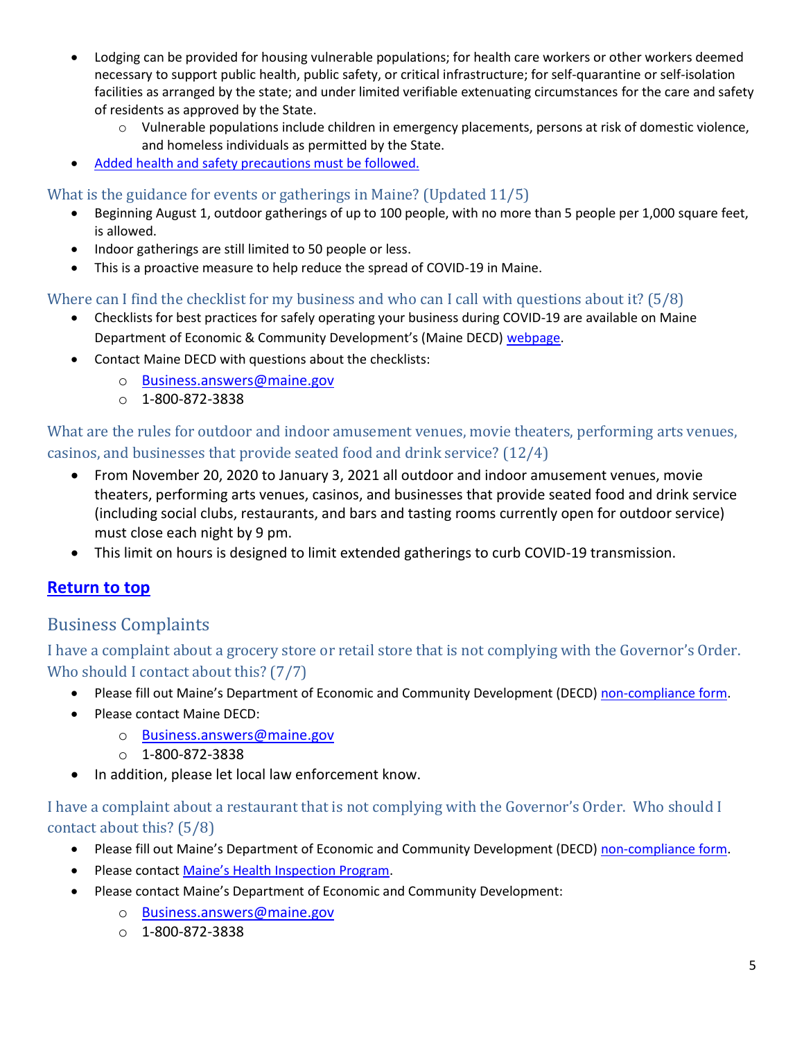- Lodging can be provided for housing vulnerable populations; for health care workers or other workers deemed necessary to support public health, public safety, or critical infrastructure; for self-quarantine or self-isolation facilities as arranged by the state; and under limited verifiable extenuating circumstances for the care and safety of residents as approved by the State.
	- o Vulnerable populations include children in emergency placements, persons at risk of domestic violence, and homeless individuals as permitted by the State.
- [Added health and safety precautions must be followed.](https://www.maine.gov/decd/covid-19-prevention-checklists)

<span id="page-4-0"></span>What is the guidance for events or gatherings in Maine? (Updated 11/5)

- Beginning August 1, outdoor gatherings of up to 100 people, with no more than 5 people per 1,000 square feet, is allowed.
- Indoor gatherings are still limited to 50 people or less.
- This is a proactive measure to help reduce the spread of COVID-19 in Maine.

<span id="page-4-1"></span>Where can I find the checklist for my business and who can I call with questions about it? (5/8)

- Checklists for best practices for safely operating your business during COVID-19 are available on Maine Department of Economic & Community Development's (Maine DECD) [webpage.](https://www.maine.gov/decd/covid-19-prevention-checklists)
- Contact Maine DECD with questions about the checklists:
	- o [Business.answers@maine.gov](mailto:Business.answers@maine.gov)
	- $O$  1-800-872-3838

<span id="page-4-2"></span>What are the rules for outdoor and indoor amusement venues, movie theaters, performing arts venues, casinos, and businesses that provide seated food and drink service? (12/4)

- From November 20, 2020 to January 3, 2021 all outdoor and indoor amusement venues, movie theaters, performing arts venues, casinos, and businesses that provide seated food and drink service (including social clubs, restaurants, and bars and tasting rooms currently open for outdoor service) must close each night by 9 pm.
- This limit on hours is designed to limit extended gatherings to curb COVID-19 transmission.

# **[Return to top](#page-0-0)**

# <span id="page-4-3"></span>Business Complaints

<span id="page-4-4"></span>I have a complaint about a grocery store or retail store that is not complying with the Governor's Order. Who should I contact about this? (7/7)

- Please fill out Maine's Department of Economic and Community Development (DECD) [non-compliance form.](https://appengine.egov.com/apps/me/non-compliance)
- Please contact Maine DECD:
	- o [Business.answers@maine.gov](mailto:Business.answers@maine.gov)
	- $O$  1-800-872-3838
- In addition, please let local law enforcement know.

<span id="page-4-5"></span>I have a complaint about a restaurant that is not complying with the Governor's Order. Who should I contact about this? (5/8)

- Please fill out Maine's Department of Economic and Community Development (DECD) [non-compliance form.](https://appengine.egov.com/apps/me/non-compliance)
- Please contact [Maine's Health Inspection Program](https://www.maine.gov/dhhs/mecdc/environmental-health/el/hip-complaint-form.shtml).
- Please contact Maine's Department of Economic and Community Development:
	- o [Business.answers@maine.gov](mailto:Business.answers@maine.gov)
	- $O$  1-800-872-3838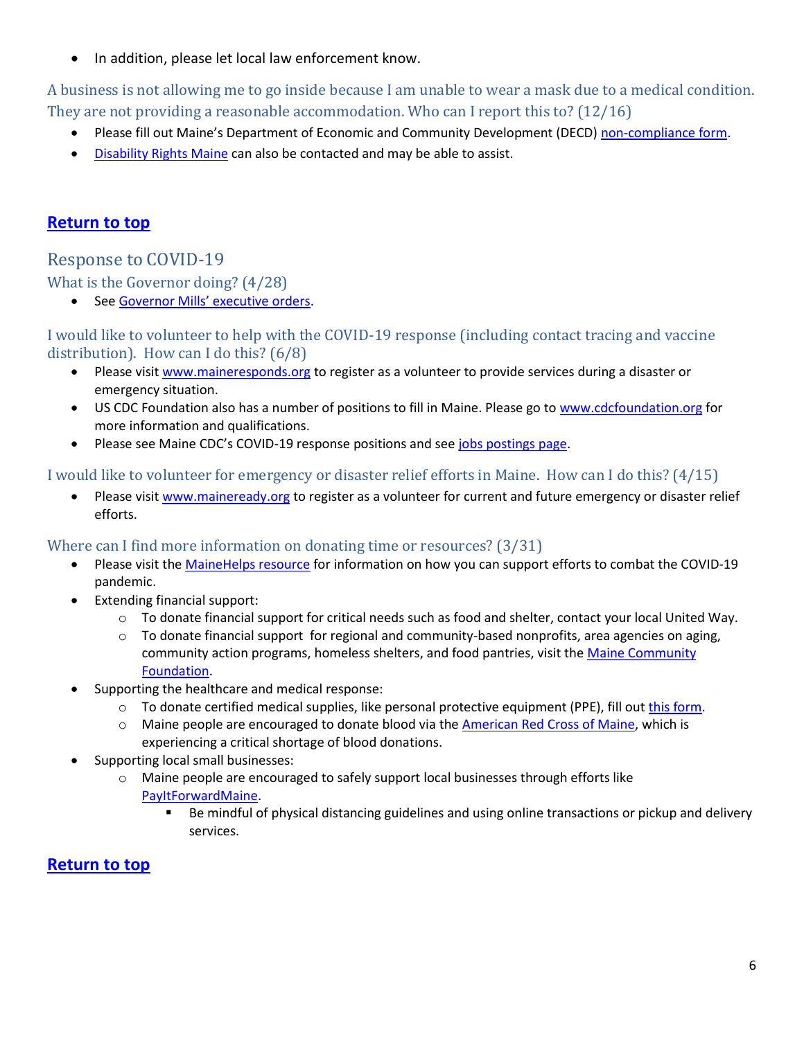• In addition, please let local law enforcement know.

<span id="page-5-0"></span>A business is not allowing me to go inside because I am unable to wear a mask due to a medical condition. They are not providing a reasonable accommodation. Who can I report this to? (12/16)

- Please fill out Maine's Department of Economic and Community Development (DECD) [non-compliance form.](https://appengine.egov.com/apps/me/non-compliance)
- [Disability Rights Maine](https://drme.org/news/2020/covid-19-resources-for-pwd) can also be contacted and may be able to assist.

# **[Return to top](#page-0-0)**

# <span id="page-5-1"></span>Response to COVID-19

<span id="page-5-2"></span>What is the Governor doing? (4/28)

• See [Governor Mills' executive](https://www.maine.gov/governor/mills/official_documents) orders.

<span id="page-5-3"></span>I would like to volunteer to help with the COVID-19 response (including contact tracing and vaccine distribution). How can I do this? (6/8)

- Please visi[t www.maineresponds.org](http://www.maineresponds.org/) to register as a volunteer to provide services during a disaster or emergency situation.
- US CDC Foundation also has a number of positions to fill in Maine. Please go to [www.cdcfoundation.org](http://www.cdcfoundation.org/) for more information and qualifications.
- Please see Maine CDC's COVID-19 response positions and see [jobs postings page.](https://www.maine.gov/dhhs/mecdc/infectious-disease/epi/airborne/contact-tracing-positions.shtml)

#### <span id="page-5-4"></span>I would like to volunteer for emergency or disaster relief efforts in Maine. How can I do this? (4/15)

• Please visi[t www.maineready.org](http://www.maineready.org/) to register as a volunteer for current and future emergency or disaster relief efforts.

#### <span id="page-5-5"></span>Where can I find more information on donating time or resources? (3/31)

- Please visit the [MaineHelps resource](https://www.maine.gov/governor/mills/covid-19/maine-helps) for information on how you can support efforts to combat the COVID-19 pandemic.
- Extending financial support:
	- $\circ$  To donate financial support for critical needs such as food and shelter, contact your local United Way.
	- $\circ$  To donate financial support for regional and community-based nonprofits, area agencies on aging, community action programs, homeless shelters, and food pantries, visit the Maine Community [Foundation.](https://www.mainecf.org/initiatives-impact/covid-19-response/)
- Supporting the healthcare and medical response:
	- o To donate certified medical supplies, like personal protective equipment (PPE), fill out [this form.](https://appengine.egov.com/apps/me/covid-19-donations)
	- o Maine people are encouraged to donate blood via the [American Red Cross](https://www.redcrossblood.org/) of Maine, which is experiencing a critical shortage of blood donations.
- Supporting local small businesses:
	- $\circ$  Maine people are encouraged to safely support local businesses through efforts like [PayItForwardMaine.](http://payitforwardmaine.com/)
		- Be mindful of physical distancing guidelines and using online transactions or pickup and delivery services.

# **[Return to top](#page-0-0)**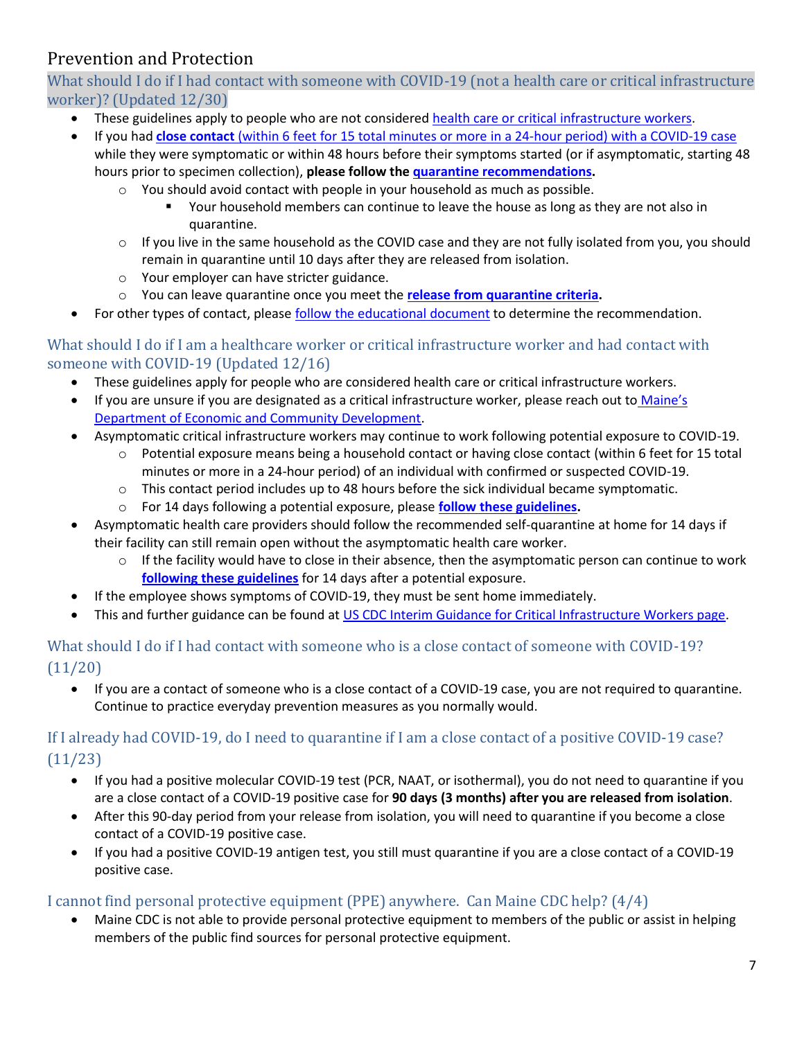# <span id="page-6-0"></span>Prevention and Protection

<span id="page-6-1"></span>What should I do if I had contact with someone with COVID-19 (not a health care or critical infrastructure worker)? (Updated 12/30)

- These guidelines apply to people who are not considered [health care or critical infrastructure workers.](#page-6-2)
- If you had **close contact** (within 6 feet for 15 total minutes or more in a 24-hour [period\) with a COVID-19](https://www.maine.gov/dhhs/mecdc/infectious-disease/epi/airborne/documents/Quarantine-CO-v2.pdf) case while they were symptomatic or within 48 hours before their symptoms started (or if asymptomatic, starting 48 hours prior to specimen collection), **please follow th[e quarantine recommendations.](https://www.maine.gov/dhhs/mecdc/infectious-disease/epi/airborne/documents/What-Is-Quarantine-2.pdf)** 
	- $\circ$  You should avoid contact with people in your household as much as possible.
		- Your household members can continue to leave the house as long as they are not also in quarantine.
	- $\circ$  If you live in the same household as the COVID case and they are not fully isolated from you, you should remain in quarantine until 10 days after they are released from isolation.
	- o Your employer can have stricter guidance.
	- o You can leave quarantine once you meet the **[release from quarantine criteria.](https://www.maine.gov/dhhs/mecdc/infectious-disease/epi/airborne/documents/COVID-19-Discontinuation-of-Quarantine-2b.pdf)**
- For other types of contact, pleas[e follow the educational document](https://www.maine.gov/dhhs/mecdc/infectious-disease/epi/airborne/documents/contact-with-COVID-case-2.pdf) to determine the recommendation.

#### <span id="page-6-2"></span>What should I do if I am a healthcare worker or critical infrastructure worker and had contact with someone with COVID-19 (Updated 12/16)

- These guidelines apply for people who are considered health care or critical infrastructure workers.
- If you are unsure if you are designated as a critical infrastructure worker, please reach out to [Maine's](https://www.maine.gov/decd/about/contact)  [Department of Economic and Community Development.](https://www.maine.gov/decd/about/contact)
- Asymptomatic critical infrastructure workers may continue to work following potential exposure to COVID-19.
	- o Potential exposure means being a household contact or having close contact (within 6 feet for 15 total minutes or more in a 24-hour period) of an individual with confirmed or suspected COVID-19.
	- $\circ$  This contact period includes up to 48 hours before the sick individual became symptomatic.
	- o For 14 days following a potential exposure, please **[follow these guidelines.](https://www.maine.gov/dhhs/mecdc/infectious-disease/epi/airborne/documents/HCW-and-CI-guidance-2.pdf)**
- Asymptomatic health care providers should follow the recommended self-quarantine at home for 14 days if their facility can still remain open without the asymptomatic health care worker.
	- $\circ$  If the facility would have to close in their absence, then the asymptomatic person can continue to work **[following these guidelines](https://www.maine.gov/dhhs/mecdc/infectious-disease/epi/airborne/documents/HCW-and-CI-guidance-2.pdf)** for 14 days after a potential exposure.
- If the employee shows symptoms of COVID-19, they must be sent home immediately.
- This and further guidance can be found at [US CDC Interim Guidance for Critical Infrastructure Workers page.](https://www.cdc.gov/coronavirus/2019-ncov/community/critical-workers/implementing-safety-practices.html)

# <span id="page-6-3"></span>What should I do if I had contact with someone who is a close contact of someone with COVID-19? (11/20)

• If you are a contact of someone who is a close contact of a COVID-19 case, you are not required to quarantine. Continue to practice everyday prevention measures as you normally would.

# <span id="page-6-4"></span>If I already had COVID-19, do I need to quarantine if I am a close contact of a positive COVID-19 case? (11/23)

- If you had a positive molecular COVID-19 test (PCR, NAAT, or isothermal), you do not need to quarantine if you are a close contact of a COVID-19 positive case for **90 days (3 months) after you are released from isolation**.
- After this 90-day period from your release from isolation, you will need to quarantine if you become a close contact of a COVID-19 positive case.
- If you had a positive COVID-19 antigen test, you still must quarantine if you are a close contact of a COVID-19 positive case.

# <span id="page-6-5"></span>I cannot find personal protective equipment (PPE) anywhere. Can Maine CDC help? (4/4)

• Maine CDC is not able to provide personal protective equipment to members of the public or assist in helping members of the public find sources for personal protective equipment.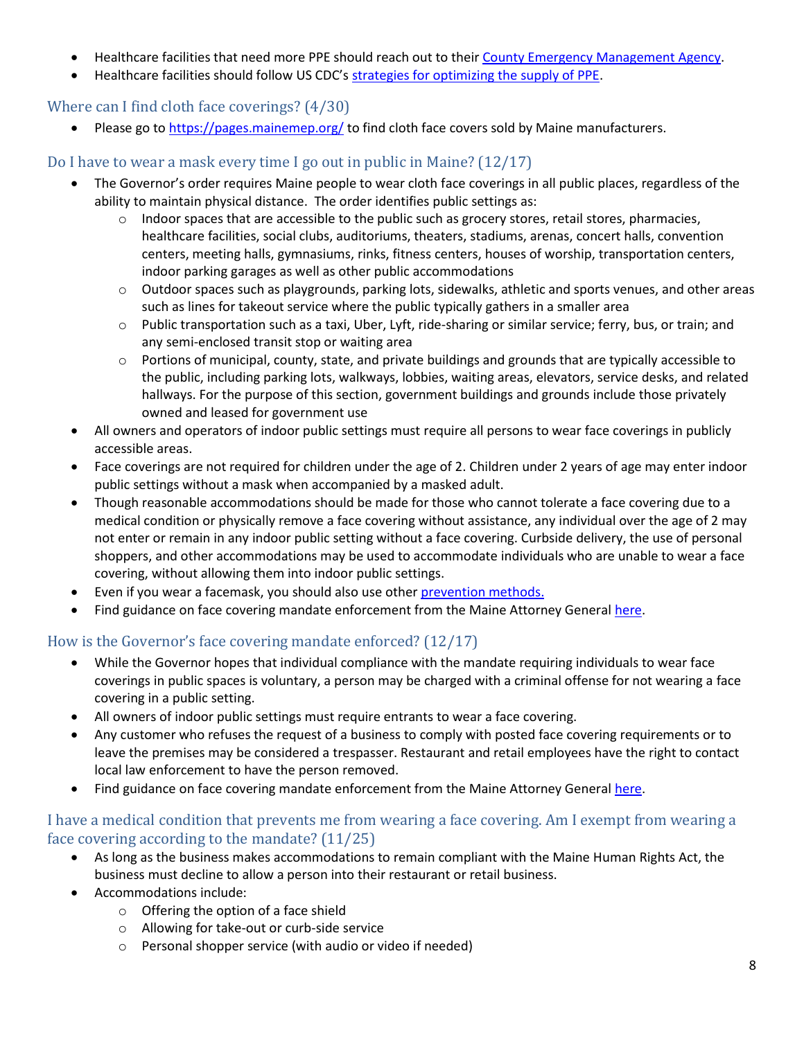- Healthcare facilities that need more PPE should reach out to thei[r County Emergency Management Agency.](https://www.maine.gov/mema/ema-community/county-local/county-emergency-management-agencies)
- Healthcare facilities should follow US CDC's [strategies for optimizing the supply of PPE.](https://www.cdc.gov/coronavirus/2019-ncov/hcp/ppe-strategy/index.html)

#### <span id="page-7-0"></span>Where can I find cloth face coverings? (4/30)

Please go t[o https://pages.mainemep.org/](https://pages.mainemep.org/) to find cloth face covers sold by Maine manufacturers.

### <span id="page-7-1"></span>Do I have to wear a mask every time I go out in public in Maine? (12/17)

- The Governor's order requires Maine people to wear cloth face coverings in all public places, regardless of the ability to maintain physical distance. The order identifies public settings as:
	- $\circ$  Indoor spaces that are accessible to the public such as grocery stores, retail stores, pharmacies, healthcare facilities, social clubs, auditoriums, theaters, stadiums, arenas, concert halls, convention centers, meeting halls, gymnasiums, rinks, fitness centers, houses of worship, transportation centers, indoor parking garages as well as other public accommodations
	- $\circ$  Outdoor spaces such as playgrounds, parking lots, sidewalks, athletic and sports venues, and other areas such as lines for takeout service where the public typically gathers in a smaller area
	- o Public transportation such as a taxi, Uber, Lyft, ride-sharing or similar service; ferry, bus, or train; and any semi-enclosed transit stop or waiting area
	- $\circ$  Portions of municipal, county, state, and private buildings and grounds that are typically accessible to the public, including parking lots, walkways, lobbies, waiting areas, elevators, service desks, and related hallways. For the purpose of this section, government buildings and grounds include those privately owned and leased for government use
- All owners and operators of indoor public settings must require all persons to wear face coverings in publicly accessible areas.
- Face coverings are not required for children under the age of 2. Children under 2 years of age may enter indoor public settings without a mask when accompanied by a masked adult.
- Though reasonable accommodations should be made for those who cannot tolerate a face covering due to a medical condition or physically remove a face covering without assistance, any individual over the age of 2 may not enter or remain in any indoor public setting without a face covering. Curbside delivery, the use of personal shoppers, and other accommodations may be used to accommodate individuals who are unable to wear a face covering, without allowing them into indoor public settings.
- Even if you wear a facemask, you should also use othe[r prevention methods.](https://www.maine.gov/dhhs/mecdc/infectious-disease/epi/airborne/coronavirus/general-information.shtml#prevention)
- Find guidance on face covering mandate enforcement from the Maine Attorney General [here.](https://www.maine.gov/ag/news/article.shtml?id=3796334)

# <span id="page-7-2"></span>How is the Governor's face covering mandate enforced? (12/17)

- While the Governor hopes that individual compliance with the mandate requiring individuals to wear face coverings in public spaces is voluntary, a person may be charged with a criminal offense for not wearing a face covering in a public setting.
- All owners of indoor public settings must require entrants to wear a face covering.
- Any customer who refuses the request of a business to comply with posted face covering requirements or to leave the premises may be considered a trespasser. Restaurant and retail employees have the right to contact local law enforcement to have the person removed.
- Find guidance on face covering mandate enforcement from the Maine Attorney General [here.](https://www.maine.gov/ag/news/article.shtml?id=3796334)

### <span id="page-7-3"></span>I have a medical condition that prevents me from wearing a face covering. Am I exempt from wearing a face covering according to the mandate? (11/25)

- As long as the business makes accommodations to remain compliant with the Maine Human Rights Act, the business must decline to allow a person into their restaurant or retail business.
- Accommodations include:
	- o Offering the option of a face shield
	- o Allowing for take-out or curb-side service
	- o Personal shopper service (with audio or video if needed)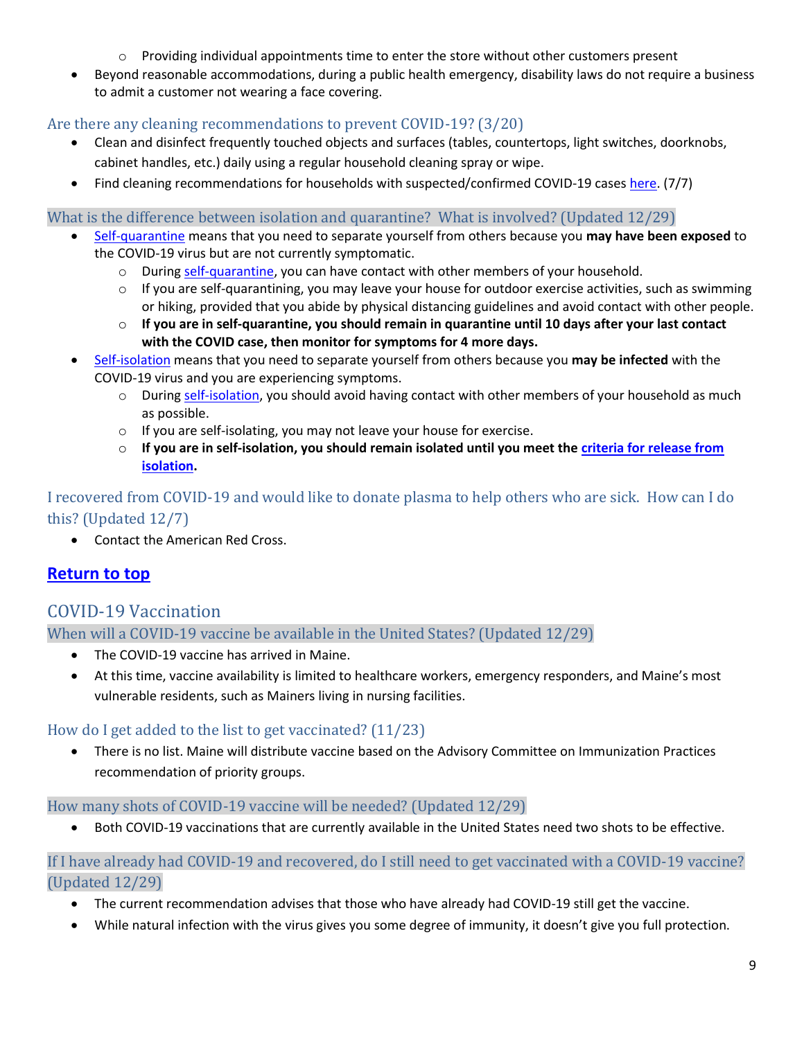- $\circ$  Providing individual appointments time to enter the store without other customers present
- Beyond reasonable accommodations, during a public health emergency, disability laws do not require a business to admit a customer not wearing a face covering.

# <span id="page-8-0"></span>Are there any cleaning recommendations to prevent COVID-19? (3/20)

- Clean and disinfect frequently touched objects and surfaces (tables, countertops, light switches, doorknobs, cabinet handles, etc.) daily using a regular household cleaning spray or wipe.
- Find cleaning recommendations for households with suspected/confirmed COVID-19 case[s here.](https://www.cdc.gov/coronavirus/2019-ncov/community/disinfecting-building-facility.html) (7/7)

#### <span id="page-8-1"></span>What is the difference between isolation and quarantine? What is involved? (Updated 12/29)

- [Self-quarantine](https://www.maine.gov/dhhs/mecdc/infectious-disease/epi/airborne/documents/What-Is-Quarantine.pdf) means that you need to separate yourself from others because you **may have been exposed** to the COVID-19 virus but are not currently symptomatic.
	- $\circ$  During [self-quarantine,](https://www.maine.gov/dhhs/mecdc/infectious-disease/epi/airborne/documents/Quarantine-CO-v2.pdf) you can have contact with other members of your household.
	- $\circ$  If you are self-quarantining, you may leave your house for outdoor exercise activities, such as swimming or hiking, provided that you abide by physical distancing guidelines and avoid contact with other people.
	- o **If you are in self-quarantine, you should remain in quarantine until 10 days after your last contact with the COVID case, then monitor for symptoms for 4 more days.**
- [Self-isolation](https://www.maine.gov/dhhs/mecdc/infectious-disease/epi/airborne/documents/What-Is-Isolation-1.pdf) means that you need to separate yourself from others because you **may be infected** with the COVID-19 virus and you are experiencing symptoms.
	- o During [self-isolation,](https://www.maine.gov/dhhs/mecdc/infectious-disease/epi/airborne/documents/Isolation-CO.pdf) you should avoid having contact with other members of your household as much as possible.
	- o If you are self-isolating, you may not leave your house for exercise.
	- o **If you are in self-isolation, you should remain isolated until you meet th[e criteria for release from](https://www.maine.gov/dhhs/mecdc/infectious-disease/epi/airborne/documents/COVID-19-Discontinuation-of-Isolation.pdf)  [isolation.](https://www.maine.gov/dhhs/mecdc/infectious-disease/epi/airborne/documents/COVID-19-Discontinuation-of-Isolation.pdf)**

# <span id="page-8-2"></span>I recovered from COVID-19 and would like to donate plasma to help others who are sick. How can I do this? (Updated 12/7)

• Contact the American Red Cross.

# **[Return to top](#page-0-0)**

# <span id="page-8-3"></span>COVID-19 Vaccination

<span id="page-8-4"></span>When will a COVID-19 vaccine be available in the United States? (Updated 12/29)

- The COVID-19 vaccine has arrived in Maine.
- At this time, vaccine availability is limited to healthcare workers, emergency responders, and Maine's most vulnerable residents, such as Mainers living in nursing facilities.

# <span id="page-8-5"></span>How do I get added to the list to get vaccinated? (11/23)

• There is no list. Maine will distribute vaccine based on the Advisory Committee on Immunization Practices recommendation of priority groups.

# <span id="page-8-6"></span>How many shots of COVID-19 vaccine will be needed? (Updated 12/29)

• Both COVID-19 vaccinations that are currently available in the United States need two shots to be effective.

### <span id="page-8-7"></span>If I have already had COVID-19 and recovered, do I still need to get vaccinated with a COVID-19 vaccine? (Updated 12/29)

- The current recommendation advises that those who have already had COVID-19 still get the vaccine.
- While natural infection with the virus gives you some degree of immunity, it doesn't give you full protection.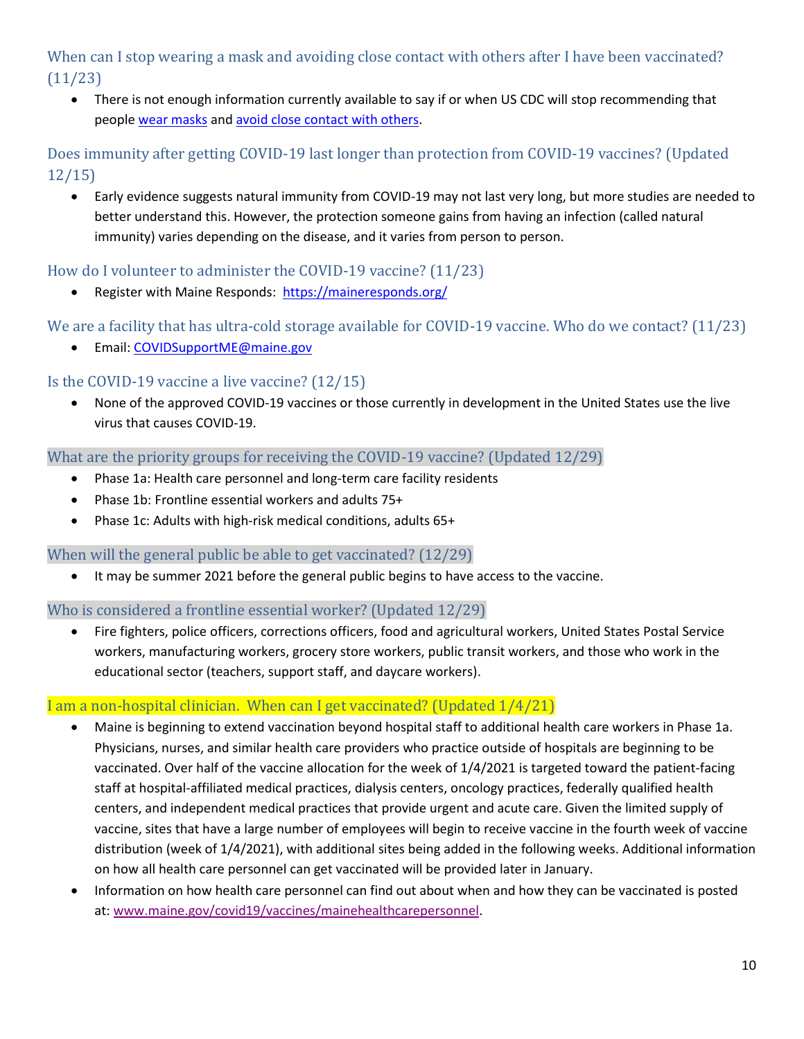# <span id="page-9-0"></span>When can I stop wearing a mask and avoiding close contact with others after I have been vaccinated? (11/23)

• There is not enough information currently available to say if or when US CDC will stop recommending that people [wear masks](https://www.cdc.gov/coronavirus/2019-ncov/prevent-getting-sick/diy-cloth-face-coverings.html) an[d avoid close contact with others.](https://www.cdc.gov/coronavirus/2019-ncov/prevent-getting-sick/social-distancing.html)

# <span id="page-9-1"></span>Does immunity after getting COVID-19 last longer than protection from COVID-19 vaccines? (Updated 12/15)

• Early evidence suggests natural immunity from COVID-19 may not last very long, but more studies are needed to better understand this. However, the protection someone gains from having an infection (called natural immunity) varies depending on the disease, and it varies from person to person.

# <span id="page-9-2"></span>How do I volunteer to administer the COVID-19 vaccine? (11/23)

Register with Maine Responds: <https://maineresponds.org/>

# <span id="page-9-3"></span>We are a facility that has ultra-cold storage available for COVID-19 vaccine. Who do we contact? (11/23)

• Email: [COVIDSupportME@maine.gov](mailto:COVIDSupportME@maine.gov)

# <span id="page-9-4"></span>Is the COVID-19 vaccine a live vaccine? (12/15)

• None of the approved COVID-19 vaccines or those currently in development in the United States use the live virus that causes COVID-19.

#### <span id="page-9-5"></span>What are the priority groups for receiving the COVID-19 vaccine? (Updated 12/29)

- Phase 1a: Health care personnel and long-term care facility residents
- Phase 1b: Frontline essential workers and adults 75+
- Phase 1c: Adults with high-risk medical conditions, adults 65+

# <span id="page-9-6"></span>When will the general public be able to get vaccinated? (12/29)

It may be summer 2021 before the general public begins to have access to the vaccine.

#### <span id="page-9-7"></span>Who is considered a frontline essential worker? (Updated 12/29)

• Fire fighters, police officers, corrections officers, food and agricultural workers, United States Postal Service workers, manufacturing workers, grocery store workers, public transit workers, and those who work in the educational sector (teachers, support staff, and daycare workers).

# <span id="page-9-8"></span>I am a non-hospital clinician. When can I get vaccinated? (Updated 1/4/21)

- Maine is beginning to extend vaccination beyond hospital staff to additional health care workers in Phase 1a. Physicians, nurses, and similar health care providers who practice outside of hospitals are beginning to be vaccinated. Over half of the vaccine allocation for the week of 1/4/2021 is targeted toward the patient-facing staff at hospital-affiliated medical practices, dialysis centers, oncology practices, federally qualified health centers, and independent medical practices that provide urgent and acute care. Given the limited supply of vaccine, sites that have a large number of employees will begin to receive vaccine in the fourth week of vaccine distribution (week of 1/4/2021), with additional sites being added in the following weeks. Additional information on how all health care personnel can get vaccinated will be provided later in January.
- Information on how health care personnel can find out about when and how they can be vaccinated is posted at: [www.maine.gov/covid19/vaccines/mainehealthcarepersonnel.](https://gcc02.safelinks.protection.outlook.com/?url=http%3A%2F%2Fwww.maine.gov%2Fcovid19%2Fvaccines%2Fmainehealthcarepersonnel&data=04%7C01%7CMegan.Porter%40maine.gov%7Ca96bec800f0549c4350308d8b0c0d660%7C413fa8ab207d4b629bcdea1a8f2f864e%7C0%7C0%7C637453689566283496%7CUnknown%7CTWFpbGZsb3d8eyJWIjoiMC4wLjAwMDAiLCJQIjoiV2luMzIiLCJBTiI6Ik1haWwiLCJXVCI6Mn0%3D%7C1000&sdata=DChNOVUuYKw7i%2BHuNfnoGNgznDjNHwkxhbKmECkeQLM%3D&reserved=0)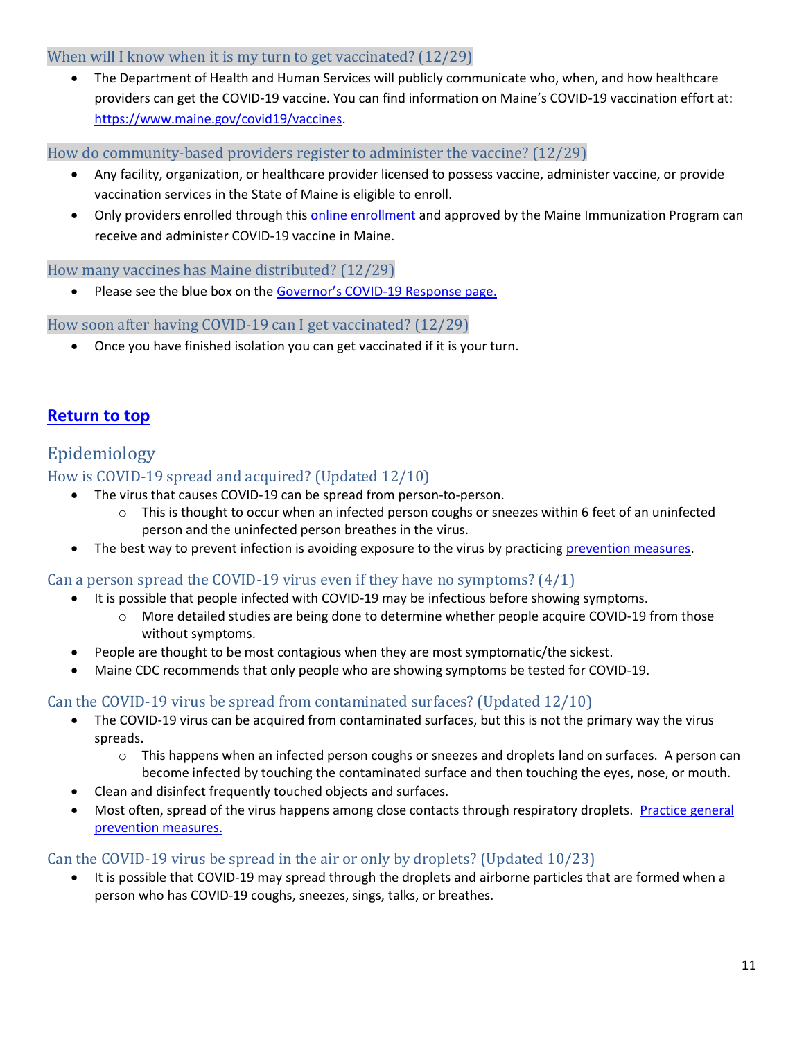#### <span id="page-10-0"></span>When will I know when it is my turn to get vaccinated? (12/29)

• The Department of Health and Human Services will publicly communicate who, when, and how healthcare providers can get the COVID-19 vaccine. You can find information on Maine's COVID-19 vaccination effort at: [https://www.maine.gov/covid19/vaccines.](https://www.maine.gov/covid19/vaccines)

<span id="page-10-1"></span>How do community-based providers register to administer the vaccine? (12/29)

- Any facility, organization, or healthcare provider licensed to possess vaccine, administer vaccine, or provide vaccination services in the State of Maine is eligible to enroll.
- Only providers enrolled through this **online enrollment** and approved by the Maine Immunization Program can receive and administer COVID-19 vaccine in Maine.

#### <span id="page-10-2"></span>How many vaccines has Maine distributed? (12/29)

• Please see the blue box on the Governor's COVID[-19 Response page.](https://www.maine.gov/covid19/vaccines)

#### <span id="page-10-3"></span>How soon after having COVID-19 can I get vaccinated? (12/29)

• Once you have finished isolation you can get vaccinated if it is your turn.

# **[Return to top](#page-0-0)**

# <span id="page-10-4"></span>Epidemiology

# <span id="page-10-5"></span>How is COVID-19 spread and acquired? (Updated 12/10)

- The virus that causes COVID-19 can be spread from person-to-person.
	- $\circ$  This is thought to occur when an infected person coughs or sneezes within 6 feet of an uninfected person and the uninfected person breathes in the virus.
- The best way to prevent infection is avoiding exposure to the virus by practicing [prevention measures.](https://www.maine.gov/dhhs/mecdc/infectious-disease/epi/airborne/coronavirus/general-information.shtml#prevention)

#### <span id="page-10-6"></span>Can a person spread the COVID-19 virus even if they have no symptoms?  $(4/1)$

- It is possible that people infected with COVID-19 may be infectious before showing symptoms.
	- $\circ$  More detailed studies are being done to determine whether people acquire COVID-19 from those without symptoms.
- People are thought to be most contagious when they are most symptomatic/the sickest.
- Maine CDC recommends that only people who are showing symptoms be tested for COVID-19.

#### <span id="page-10-7"></span>Can the COVID-19 virus be spread from contaminated surfaces? (Updated 12/10)

- The COVID-19 virus can be acquired from contaminated surfaces, but this is not the primary way the virus spreads.
	- o This happens when an infected person coughs or sneezes and droplets land on surfaces. A person can become infected by touching the contaminated surface and then touching the eyes, nose, or mouth.
- Clean and disinfect frequently touched objects and surfaces.
- Most often, spread of the virus happens among close contacts through respiratory droplets. [Practice general](https://www.maine.gov/dhhs/mecdc/infectious-disease/epi/airborne/coronavirus/general-information.shtml#prevention)  [prevention measures.](https://www.maine.gov/dhhs/mecdc/infectious-disease/epi/airborne/coronavirus/general-information.shtml#prevention)

#### <span id="page-10-8"></span>Can the COVID-19 virus be spread in the air or only by droplets? (Updated 10/23)

• It is possible that COVID-19 may spread through the droplets and airborne particles that are formed when a person who has COVID-19 coughs, sneezes, sings, talks, or breathes.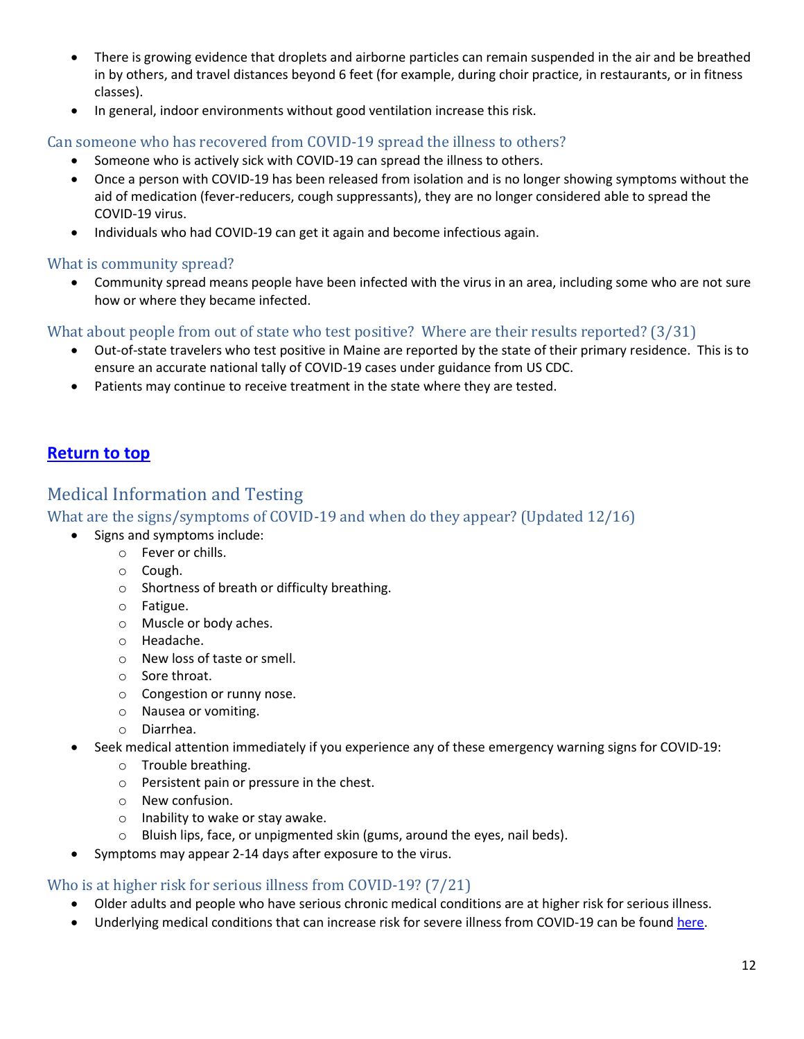- There is growing evidence that droplets and airborne particles can remain suspended in the air and be breathed in by others, and travel distances beyond 6 feet (for example, during choir practice, in restaurants, or in fitness classes).
- In general, indoor environments without good ventilation increase this risk.

#### <span id="page-11-0"></span>Can someone who has recovered from COVID-19 spread the illness to others?

- Someone who is actively sick with COVID-19 can spread the illness to others.
- Once a person with COVID-19 has been released from isolation and is no longer showing symptoms without the aid of medication (fever-reducers, cough suppressants), they are no longer considered able to spread the COVID-19 virus.
- Individuals who had COVID-19 can get it again and become infectious again.

#### <span id="page-11-1"></span>What is community spread?

• Community spread means people have been infected with the virus in an area, including some who are not sure how or where they became infected.

#### <span id="page-11-2"></span>What about people from out of state who test positive? Where are their results reported? (3/31)

- Out-of-state travelers who test positive in Maine are reported by the state of their primary residence. This is to ensure an accurate national tally of COVID-19 cases under guidance from US CDC.
- Patients may continue to receive treatment in the state where they are tested.

# **[Return to top](#page-0-0)**

# <span id="page-11-3"></span>Medical Information and Testing

#### <span id="page-11-4"></span>What are the signs/symptoms of COVID-19 and when do they appear? (Updated 12/16)

- Signs and symptoms include:
	- o Fever or chills.
	- o Cough.
	- o Shortness of breath or difficulty breathing.
	- o Fatigue.
	- o Muscle or body aches.
	- o Headache.
	- o New loss of taste or smell.
	- o Sore throat.
	- o Congestion or runny nose.
	- o Nausea or vomiting.
	- o Diarrhea.
- Seek medical attention immediately if you experience any of these emergency warning signs for COVID-19:
	- o Trouble breathing.
	- o Persistent pain or pressure in the chest.
	- o New confusion.
	- o Inability to wake or stay awake.
	- o Bluish lips, face, or unpigmented skin (gums, around the eyes, nail beds).
- Symptoms may appear 2-14 days after exposure to the virus.

#### <span id="page-11-5"></span>Who is at higher risk for serious illness from COVID-19? (7/21)

- Older adults and people who have serious chronic medical conditions are at higher risk for serious illness.
- Underlying medical conditions that can increase risk for severe illness from COVID-19 can be foun[d here.](https://www.cdc.gov/coronavirus/2019-ncov/need-extra-precautions/people-with-medical-conditions.html?CDC_AA_refVal=https%3A%2F%2Fwww.cdc.gov%2Fcoronavirus%2F2019-ncov%2Fneed-extra-precautions%2Fgroups-at-higher-risk.html)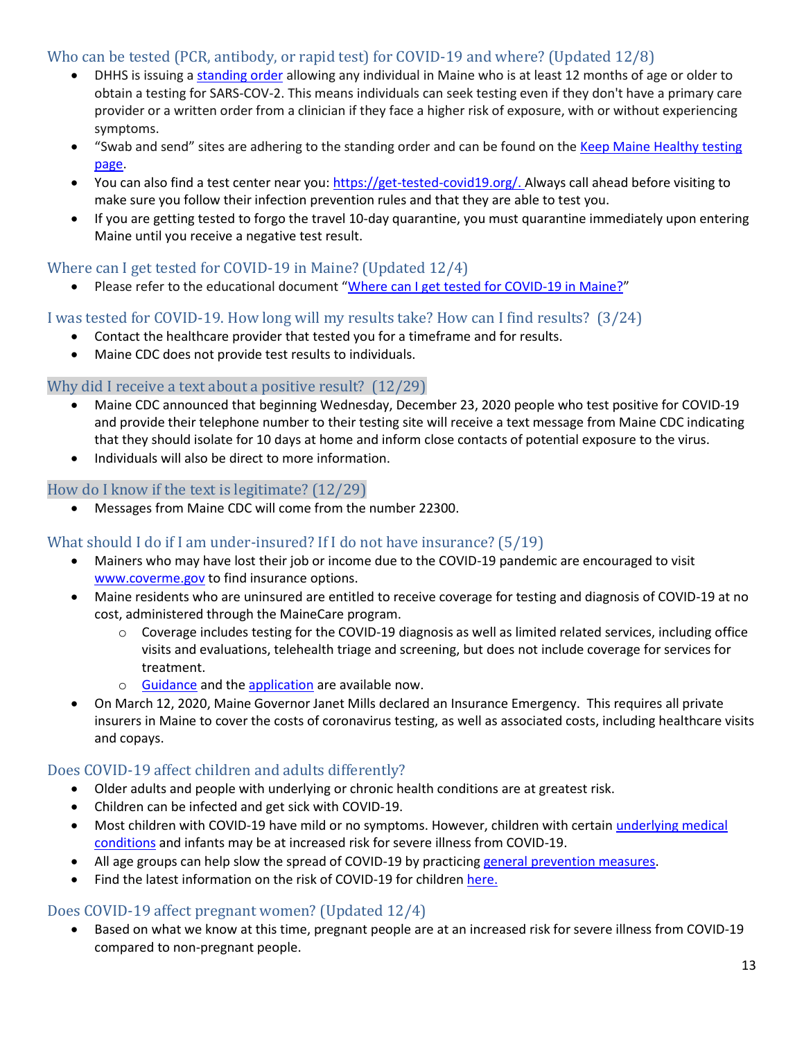### <span id="page-12-0"></span>Who can be tested (PCR, antibody, or rapid test) for COVID-19 and where? (Updated 12/8)

- DHHS is issuing a [standing order](https://www.maine.gov/dhhs/mecdc/infectious-disease/epi/airborne/documents/StandingOrder-Update.pdf) allowing any individual in Maine who is at least 12 months of age or older to obtain a testing for SARS-COV-2. This means individuals can seek testing even if they don't have a primary care provider or a written order from a clinician if they face a higher risk of exposure, with or without experiencing symptoms.
- "Swab and send" sites are adhering to the standing order and can be found on the Keep Maine Healthy testing [page.](https://www.maine.gov/covid19/restartingmaine/keepmainehealthy/testing)
- You can also find a test center near you[: https://get-tested-covid19.org/.](https://get-tested-covid19.org/) Always call ahead before visiting to make sure you follow their infection prevention rules and that they are able to test you.
- If you are getting tested to forgo the travel 10-day quarantine, you must quarantine immediately upon entering Maine until you receive a negative test result.

### <span id="page-12-1"></span>Where can I get tested for COVID-19 in Maine? (Updated 12/4)

• Please refer to the educational document "[Where can I get tested for COVID-19 in Maine?](https://www.maine.gov/dhhs/mecdc/infectious-disease/epi/airborne/documents/Maine-COVID-testing.pdf)"

# <span id="page-12-2"></span>I was tested for COVID-19. How long will my results take? How can I find results? (3/24)

- Contact the healthcare provider that tested you for a timeframe and for results.
- Maine CDC does not provide test results to individuals.

#### <span id="page-12-3"></span>Why did I receive a text about a positive result? (12/29)

- Maine CDC announced that beginning Wednesday, December 23, 2020 people who test positive for COVID-19 and provide their telephone number to their testing site will receive a text message from Maine CDC indicating that they should isolate for 10 days at home and inform close contacts of potential exposure to the virus.
- Individuals will also be direct to more information.

#### <span id="page-12-4"></span>How do I know if the text is legitimate? (12/29)

• Messages from Maine CDC will come from the number 22300.

#### <span id="page-12-5"></span>What should I do if I am under-insured? If I do not have insurance? (5/19)

- Mainers who may have lost their job or income due to the COVID-19 pandemic are encouraged to visit [www.coverme.gov](http://www.coverme.gov/) to find insurance options.
- Maine residents who are uninsured are entitled to receive coverage for testing and diagnosis of COVID-19 at no cost, administered through the MaineCare program.
	- o Coverage includes testing for the COVID-19 diagnosis as well as limited related services, including office visits and evaluations, telehealth triage and screening, but does not include coverage for services for treatment.
	- o [Guidance](https://www.maine.gov/dhhs/oms/pdfs_doc/COVID-19/Individual-Guidance-Uninsured-COVID19-05122020.pdf) and th[e application](https://www.maine.gov/dhhs/ofi/documents/COVID-19-Testing-App.pdf) are available now.
- On March 12, 2020, Maine Governor Janet Mills declared an Insurance Emergency. This requires all private insurers in Maine to cover the costs of coronavirus testing, as well as associated costs, including healthcare visits and copays.

#### <span id="page-12-6"></span>Does COVID-19 affect children and adults differently?

- Older adults and people with underlying or chronic health conditions are at greatest risk.
- Children can be infected and get sick with COVID-19.
- Most children with COVID-19 have mild or no symptoms. However, children with certain [underlying medical](https://www.cdc.gov/coronavirus/2019-ncov/need-extra-precautions/people-with-medical-conditions.html#children-underlying-conditions)  [conditions](https://www.cdc.gov/coronavirus/2019-ncov/need-extra-precautions/people-with-medical-conditions.html#children-underlying-conditions) and infants may be at increased risk for severe illness from COVID-19.
- All age groups can help slow the spread of COVID-19 by practicing [general prevention measures.](https://www.maine.gov/dhhs/mecdc/infectious-disease/epi/airborne/coronavirus/general-information.shtml#prevention)
- Find the latest information on the risk of COVID-19 for children here.

#### <span id="page-12-7"></span>Does COVID-19 affect pregnant women? (Updated 12/4)

• Based on what we know at this time, pregnant people are at an increased risk for severe illness from COVID-19 compared to non-pregnant people.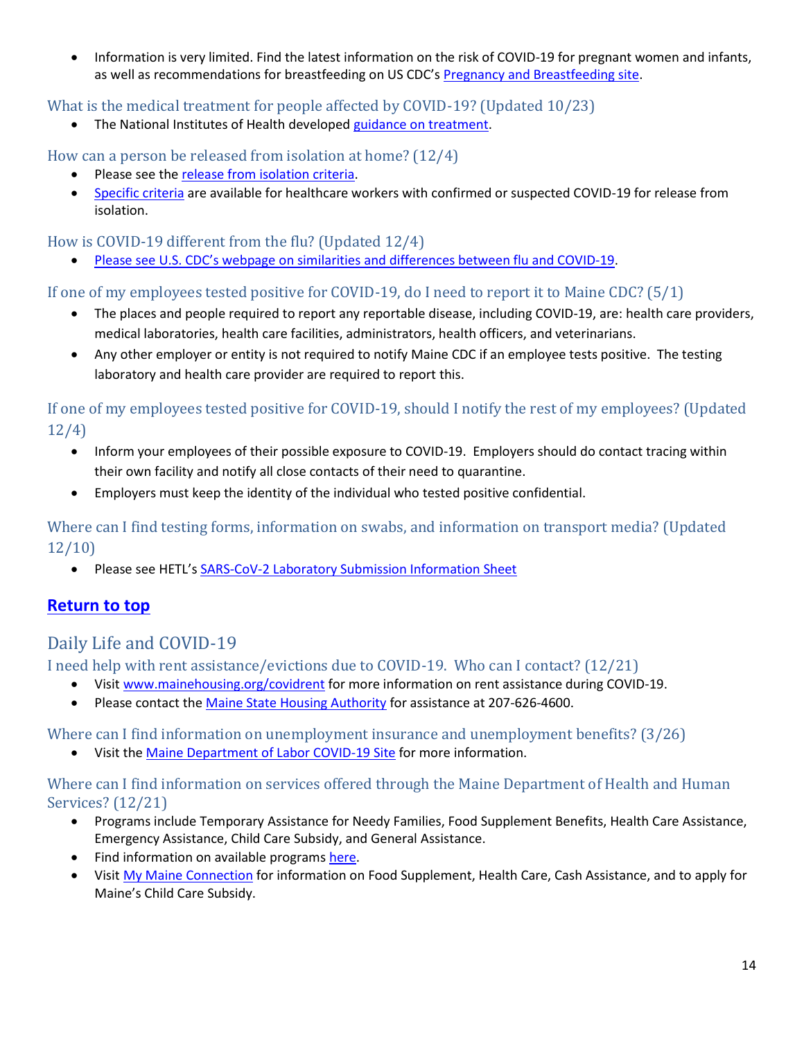• Information is very limited. Find the latest information on the risk of COVID-19 for pregnant women and infants, as well as recommendations for breastfeeding on US CDC's [Pregnancy and Breastfeeding site.](https://www.cdc.gov/coronavirus/2019-ncov/prepare/pregnancy-breastfeeding.html)

<span id="page-13-0"></span>What is the medical treatment for people affected by COVID-19? (Updated 10/23)

The National Institutes of Health developed [guidance on treatment.](https://www.covid19treatmentguidelines.nih.gov/whats-new/)

<span id="page-13-1"></span>How can a person be released from isolation at home? (12/4)

- Please see the [release from isolation criteria.](https://www.maine.gov/dhhs/mecdc/infectious-disease/epi/airborne/documents/COVID-19-Discontinuation-of-Isolation.pdf)
- [Specific criteria](https://www.cdc.gov/coronavirus/2019-ncov/healthcare-facilities/hcp-return-work.html) are available for healthcare workers with confirmed or suspected COVID-19 for release from isolation.

# <span id="page-13-2"></span>How is COVID-19 different from the flu? (Updated 12/4)

• [Please see U.S. CDC's webpage on similarities and differences between flu and C](https://www.cdc.gov/flu/symptoms/flu-vs-covid19.htm#:~:text=Because%20some%20of%20the%20symptoms,differences%20between%20the%20two.)OVID-19.

<span id="page-13-3"></span>If one of my employees tested positive for COVID-19, do I need to report it to Maine CDC? (5/1)

- The places and people required to report any reportable disease, including COVID-19, are: health care providers, medical laboratories, health care facilities, administrators, health officers, and veterinarians.
- Any other employer or entity is not required to notify Maine CDC if an employee tests positive. The testing laboratory and health care provider are required to report this.

<span id="page-13-4"></span>If one of my employees tested positive for COVID-19, should I notify the rest of my employees? (Updated 12/4)

- Inform your employees of their possible exposure to COVID-19. Employers should do contact tracing within their own facility and notify all close contacts of their need to quarantine.
- Employers must keep the identity of the individual who tested positive confidential.

<span id="page-13-5"></span>Where can I find testing forms, information on swabs, and information on transport media? (Updated 12/10)

• Please see HETL's [SARS-CoV-2 Laboratory Submission Information Sheet](https://www.maine.gov/dhhs/mecdc/public-health-systems/health-and-environmental-testing/micro/download-forms.htm)

# **[Return to top](#page-0-0)**

# <span id="page-13-6"></span>Daily Life and COVID-19

<span id="page-13-7"></span>I need help with rent assistance/evictions due to COVID-19. Who can I contact? (12/21)

- Visit [www.mainehousing.org/covidrent](http://www.mainehousing.org/covidrent) for more information on rent assistance during COVID-19.
- Please contact th[e Maine State Housing Authority](https://www.mainehousing.org/) for assistance at 207-626-4600.

<span id="page-13-8"></span>Where can I find information on unemployment insurance and unemployment benefits? (3/26)

• Visit the [Maine Department of Labor COVID-19 Site](https://www.maine.gov/labor/covid19/) for more information.

#### <span id="page-13-9"></span>Where can I find information on services offered through the Maine Department of Health and Human Services? (12/21)

- Programs include Temporary Assistance for Needy Families, Food Supplement Benefits, Health Care Assistance, Emergency Assistance, Child Care Subsidy, and General Assistance.
- Find information on available programs [here.](https://www.maine.gov/dhhs/programs-services)
- Visit [My Maine Connection](https://www1.maine.gov/benefits/account/login.html) for information on Food Supplement, Health Care, Cash Assistance, and to apply for Maine's Child Care Subsidy.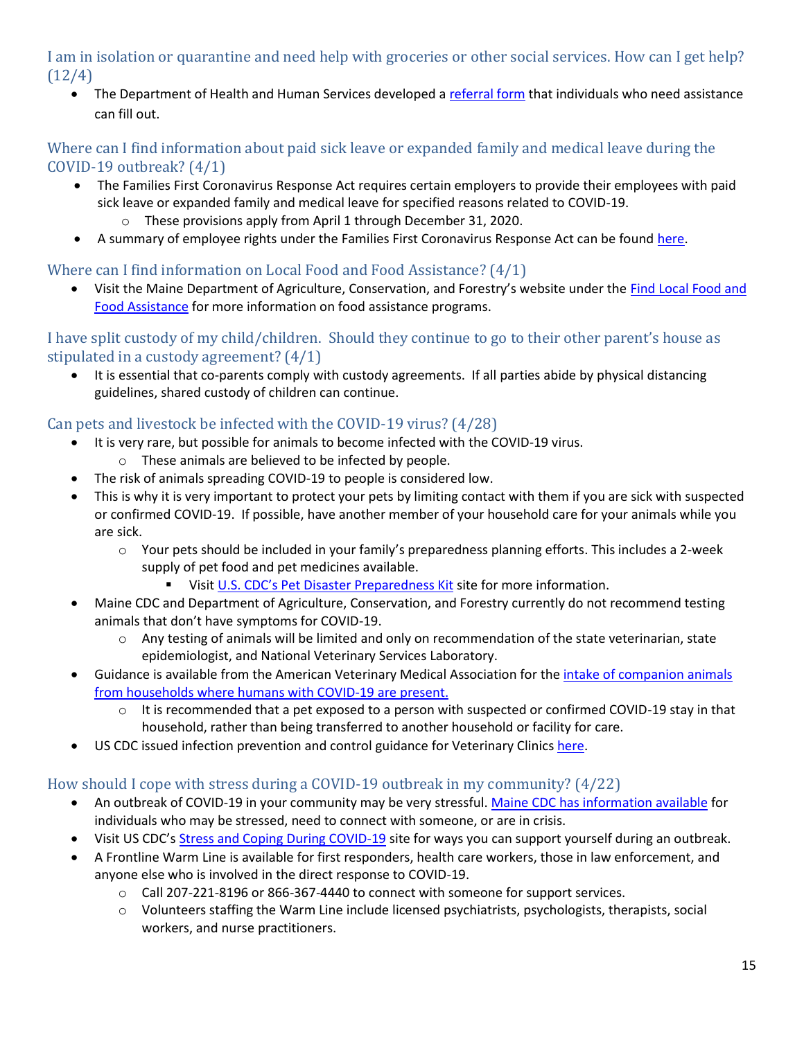<span id="page-14-0"></span>I am in isolation or quarantine and need help with groceries or other social services. How can I get help? (12/4)

• The Department of Health and Human Services developed a [referral form](https://www.maine.gov/dhhs/form/covid-19-referral-form) that individuals who need assistance can fill out.

### <span id="page-14-1"></span>Where can I find information about paid sick leave or expanded family and medical leave during the COVID-19 outbreak? (4/1)

- The Families First Coronavirus Response Act requires certain employers to provide their employees with paid sick leave or expanded family and medical leave for specified reasons related to COVID-19. o These provisions apply from April 1 through December 31, 2020.
- A summary of employee rights under the Families First Coronavirus Response Act can be foun[d here.](https://www.dol.gov/sites/dolgov/files/WHD/posters/FFCRA_Poster_WH1422_Non-Federal.pdf)

# <span id="page-14-2"></span>Where can I find information on Local Food and Food Assistance? (4/1)

• Visit the Maine Department of Agriculture, Conservation, and Forestry's website under the [Find Local Food](https://www.maine.gov/dacf/covid19/#localfood) and [Food Assistance](https://www.maine.gov/dacf/covid19/#localfood) for more information on food assistance programs.

### <span id="page-14-3"></span>I have split custody of my child/children. Should they continue to go to their other parent's house as stipulated in a custody agreement? (4/1)

It is essential that co-parents comply with custody agreements. If all parties abide by physical distancing guidelines, shared custody of children can continue.

# <span id="page-14-4"></span>Can pets and livestock be infected with the COVID-19 virus? (4/28)

- It is very rare, but possible for animals to become infected with the COVID-19 virus.
	- o These animals are believed to be infected by people.
- The risk of animals spreading COVID-19 to people is considered low.
- This is why it is very important to protect your pets by limiting contact with them if you are sick with suspected or confirmed COVID-19. If possible, have another member of your household care for your animals while you are sick.
	- o Your pets should be included in your family's preparedness planning efforts. This includes a 2-week supply of pet food and pet medicines available.
		- Visit [U.S. CDC's Pet Disaster Preparedness](https://www.cdc.gov/healthypets/emergencies/pet-disaster-prep-kit.html) Kit site for more information.
- Maine CDC and Department of Agriculture, Conservation, and Forestry currently do not recommend testing animals that don't have symptoms for COVID-19.
	- o Any testing of animals will be limited and only on recommendation of the state veterinarian, state epidemiologist, and National Veterinary Services Laboratory.
- Guidance is available from the American Veterinary Medical Association for the [intake of companion animals](https://www.avma.org/resources-tools/animal-health-and-welfare/covid-19/interim-recommendations-intake-companion-animals-households-humans-COVID-19-are-present)  [from households where humans with COVID-19 are present.](https://www.avma.org/resources-tools/animal-health-and-welfare/covid-19/interim-recommendations-intake-companion-animals-households-humans-COVID-19-are-present)
	- It is recommended that a pet exposed to a person with suspected or confirmed COVID-19 stay in that household, rather than being transferred to another household or facility for care.
- US CDC issued infection prevention and control guidance for Veterinary Clinic[s here.](https://www.cdc.gov/coronavirus/2019-ncov/community/veterinarians.html)

# <span id="page-14-5"></span>How should I cope with stress during a COVID-19 outbreak in my community? (4/22)

- An outbreak of COVID-19 in your community may be very stressful. [Maine CDC has information available](https://www.maine.gov/dhhs/mecdc/infectious-disease/epi/airborne/documents/Mental-Health-Resource.pdf) for individuals who may be stressed, need to connect with someone, or are in crisis.
- Visit US CDC's [Stress and Coping During COVID-19](https://www.cdc.gov/coronavirus/2019-ncov/about/coping.html) site for ways you can support yourself during an outbreak.
- A Frontline Warm Line is available for first responders, health care workers, those in law enforcement, and anyone else who is involved in the direct response to COVID-19.
	- $\circ$  Call 207-221-8196 or 866-367-4440 to connect with someone for support services.
	- $\circ$  Volunteers staffing the Warm Line include licensed psychiatrists, psychologists, therapists, social workers, and nurse practitioners.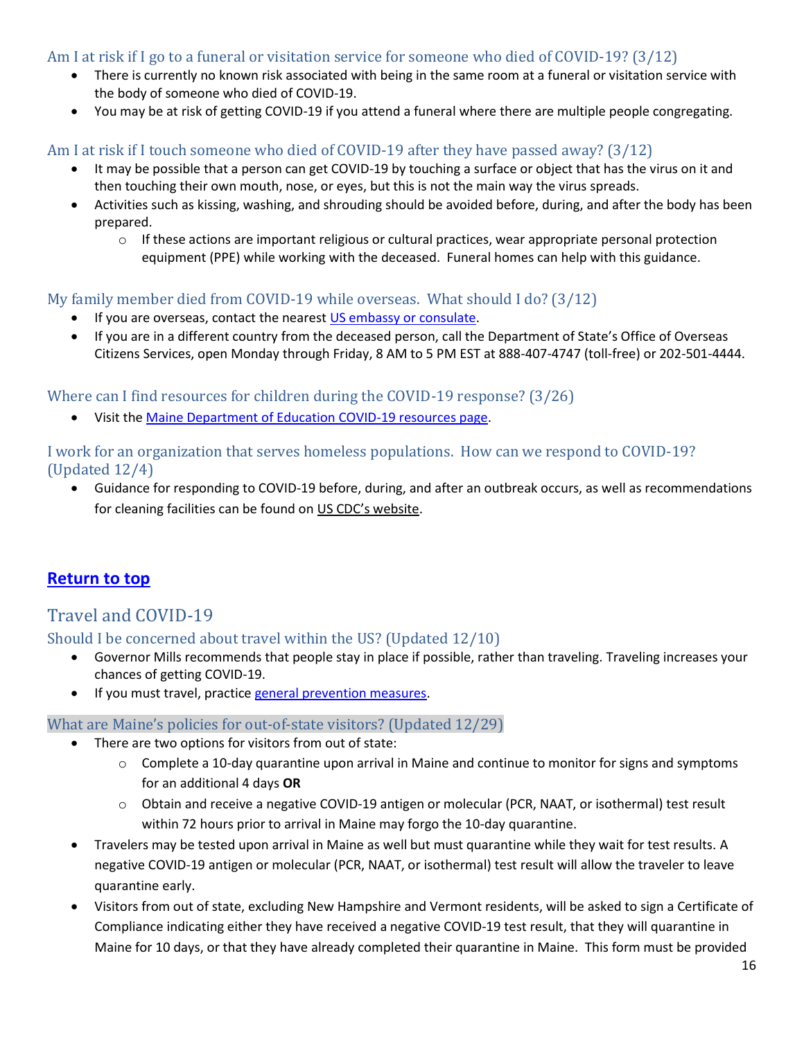### <span id="page-15-0"></span>Am I at risk if I go to a funeral or visitation service for someone who died of COVID-19? (3/12)

- There is currently no known risk associated with being in the same room at a funeral or visitation service with the body of someone who died of COVID-19.
- You may be at risk of getting COVID-19 if you attend a funeral where there are multiple people congregating.

#### <span id="page-15-1"></span>Am I at risk if I touch someone who died of COVID-19 after they have passed away? (3/12)

- It may be possible that a person can get COVID-19 by touching a surface or object that has the virus on it and then touching their own mouth, nose, or eyes, but this is not the main way the virus spreads.
- Activities such as kissing, washing, and shrouding should be avoided before, during, and after the body has been prepared.
	- $\circ$  If these actions are important religious or cultural practices, wear appropriate personal protection equipment (PPE) while working with the deceased. Funeral homes can help with this guidance.

#### <span id="page-15-2"></span>My family member died from COVID-19 while overseas. What should I do? (3/12)

- If you are overseas, contact the nearest [US embassy or consulate.](https://www.usembassy.gov/)
- If you are in a different country from the deceased person, call the Department of State's Office of Overseas Citizens Services, open Monday through Friday, 8 AM to 5 PM EST at 888-407-4747 (toll-free) or 202-501-4444.

<span id="page-15-3"></span>Where can I find resources for children during the COVID-19 response? (3/26)

Visit the [Maine Department of Education COVID-19 resources page.](https://www.maine.gov/doe/covid-19/)

<span id="page-15-4"></span>I work for an organization that serves homeless populations. How can we respond to COVID-19? (Updated 12/4)

• Guidance for responding to COVID-19 before, during, and after an outbreak occurs, as well as recommendations for cleaning facilities can be found on [US CDC's website](https://www.cdc.gov/coronavirus/2019-ncov/community/homeless-shelters/index.html).

# **[Return to top](#page-0-0)**

# <span id="page-15-5"></span>Travel and COVID-19

<span id="page-15-6"></span>Should I be concerned about travel within the US? (Updated 12/10)

- Governor Mills recommends that people stay in place if possible, rather than traveling. Traveling increases your chances of getting COVID-19.
- If you must travel, practice [general prevention measures.](https://www.maine.gov/dhhs/mecdc/infectious-disease/epi/airborne/coronavirus/general-information.shtml#prevention)

#### <span id="page-15-7"></span>What are Maine's policies for out-of-state visitors? (Updated 12/29)

- There are two options for visitors from out of state:
	- $\circ$  Complete a 10-day quarantine upon arrival in Maine and continue to monitor for signs and symptoms for an additional 4 days **OR**
	- o Obtain and receive a negative COVID-19 antigen or molecular (PCR, NAAT, or isothermal) test result within 72 hours prior to arrival in Maine may forgo the 10-day quarantine.
- Travelers may be tested upon arrival in Maine as well but must quarantine while they wait for test results. A negative COVID-19 antigen or molecular (PCR, NAAT, or isothermal) test result will allow the traveler to leave quarantine early.
- Visitors from out of state, excluding New Hampshire and Vermont residents, will be asked to sign a Certificate of Compliance indicating either they have received a negative COVID-19 test result, that they will quarantine in Maine for 10 days, or that they have already completed their quarantine in Maine. This form must be provided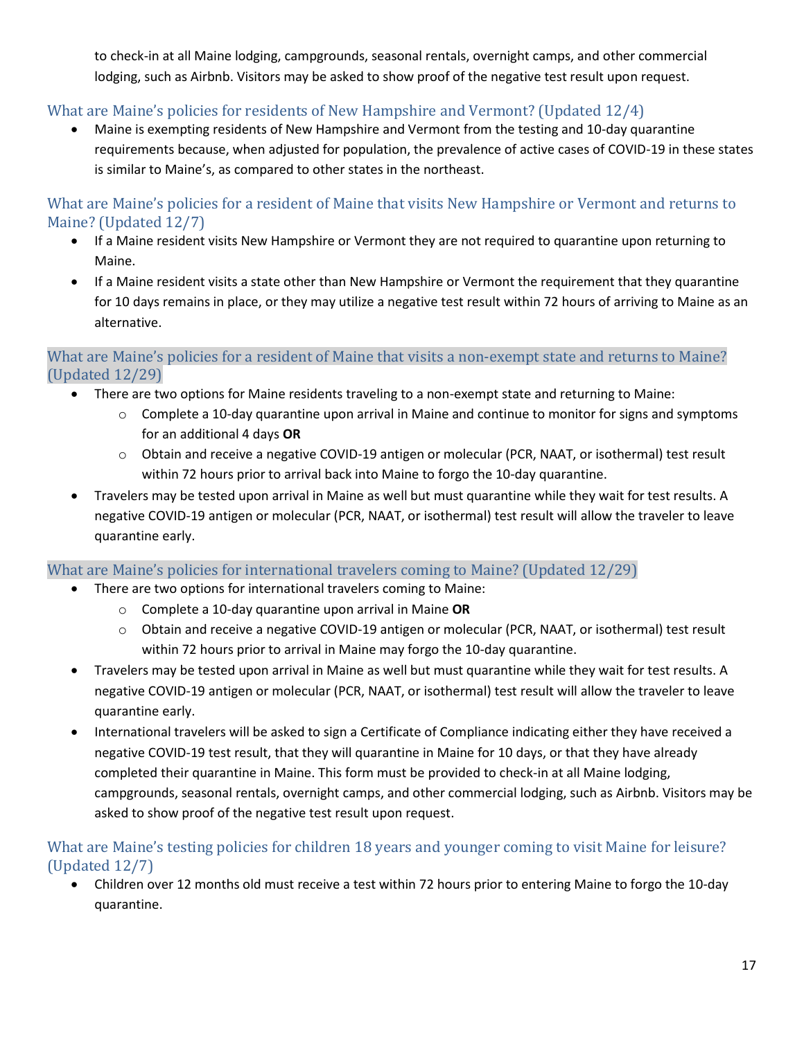to check-in at all Maine lodging, campgrounds, seasonal rentals, overnight camps, and other commercial lodging, such as Airbnb. Visitors may be asked to show proof of the negative test result upon request.

# <span id="page-16-0"></span>What are Maine's policies for residents of New Hampshire and Vermont? (Updated 12/4)

• Maine is exempting residents of New Hampshire and Vermont from the testing and 10-day quarantine requirements because, when adjusted for population, the prevalence of active cases of COVID-19 in these states is similar to Maine's, as compared to other states in the northeast.

<span id="page-16-1"></span>What are Maine's policies for a resident of Maine that visits New Hampshire or Vermont and returns to Maine? (Updated 12/7)

- If a Maine resident visits New Hampshire or Vermont they are not required to quarantine upon returning to Maine.
- If a Maine resident visits a state other than New Hampshire or Vermont the requirement that they quarantine for 10 days remains in place, or they may utilize a negative test result within 72 hours of arriving to Maine as an alternative.

#### <span id="page-16-2"></span>What are Maine's policies for a resident of Maine that visits a non-exempt state and returns to Maine? (Updated 12/29)

- There are two options for Maine residents traveling to a non-exempt state and returning to Maine:
	- $\circ$  Complete a 10-day quarantine upon arrival in Maine and continue to monitor for signs and symptoms for an additional 4 days **OR**
	- o Obtain and receive a negative COVID-19 antigen or molecular (PCR, NAAT, or isothermal) test result within 72 hours prior to arrival back into Maine to forgo the 10-day quarantine.
- Travelers may be tested upon arrival in Maine as well but must quarantine while they wait for test results. A negative COVID-19 antigen or molecular (PCR, NAAT, or isothermal) test result will allow the traveler to leave quarantine early.

<span id="page-16-3"></span>What are Maine's policies for international travelers coming to Maine? (Updated 12/29)

- There are two options for international travelers coming to Maine:
	- o Complete a 10-day quarantine upon arrival in Maine **OR**
	- o Obtain and receive a negative COVID-19 antigen or molecular (PCR, NAAT, or isothermal) test result within 72 hours prior to arrival in Maine may forgo the 10-day quarantine.
- Travelers may be tested upon arrival in Maine as well but must quarantine while they wait for test results. A negative COVID-19 antigen or molecular (PCR, NAAT, or isothermal) test result will allow the traveler to leave quarantine early.
- International travelers will be asked to sign a Certificate of Compliance indicating either they have received a negative COVID-19 test result, that they will quarantine in Maine for 10 days, or that they have already completed their quarantine in Maine. This form must be provided to check-in at all Maine lodging, campgrounds, seasonal rentals, overnight camps, and other commercial lodging, such as Airbnb. Visitors may be asked to show proof of the negative test result upon request.

# <span id="page-16-4"></span>What are Maine's testing policies for children 18 years and younger coming to visit Maine for leisure? (Updated 12/7)

• Children over 12 months old must receive a test within 72 hours prior to entering Maine to forgo the 10-day quarantine.